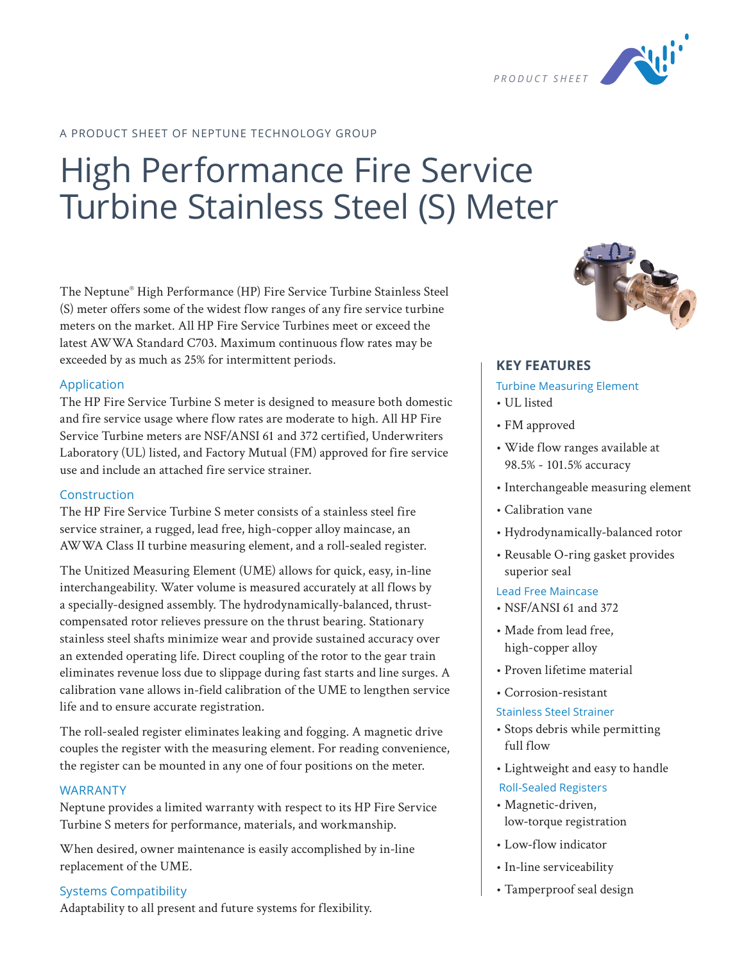

## A PRODUCT SHEET OF NEPTUNE TECHNOLOGY GROUP

# High Performance Fire Service Turbine Stainless Steel (S) Meter

The Neptune® High Performance (HP) Fire Service Turbine Stainless Steel (S) meter offers some of the widest flow ranges of any fire service turbine meters on the market. All HP Fire Service Turbines meet or exceed the latest AWWA Standard C703. Maximum continuous flow rates may be exceeded by as much as 25% for intermittent periods.

#### Application

The HP Fire Service Turbine S meter is designed to measure both domestic and fire service usage where flow rates are moderate to high. All HP Fire Service Turbine meters are NSF/ANSI 61 and 372 certified, Underwriters Laboratory (UL) listed, and Factory Mutual (FM) approved for fire service use and include an attached fire service strainer.

### Construction

The HP Fire Service Turbine S meter consists of a stainless steel fire service strainer, a rugged, lead free, high-copper alloy maincase, an AWWA Class II turbine measuring element, and a roll-sealed register.

The Unitized Measuring Element (UME) allows for quick, easy, in-line interchangeability. Water volume is measured accurately at all flows by a specially-designed assembly. The hydrodynamically-balanced, thrustcompensated rotor relieves pressure on the thrust bearing. Stationary stainless steel shafts minimize wear and provide sustained accuracy over an extended operating life. Direct coupling of the rotor to the gear train eliminates revenue loss due to slippage during fast starts and line surges. A calibration vane allows in-field calibration of the UME to lengthen service life and to ensure accurate registration.

The roll-sealed register eliminates leaking and fogging. A magnetic drive couples the register with the measuring element. For reading convenience, the register can be mounted in any one of four positions on the meter.

#### WARRANTY

Neptune provides a limited warranty with respect to its HP Fire Service Turbine S meters for performance, materials, and workmanship.

When desired, owner maintenance is easily accomplished by in-line replacement of the UME.

### Systems Compatibility

Adaptability to all present and future systems for flexibility.



#### **KEY FEATURES**

#### Turbine Measuring Element

- UL listed
- FM approved
- Wide flow ranges available at 98.5% - 101.5% accuracy
- Interchangeable measuring element
- Calibration vane
- Hydrodynamically-balanced rotor
- Reusable O-ring gasket provides superior seal

### Lead Free Maincase

- NSF/ANSI 61 and 372
- Made from lead free, high-copper alloy
- Proven lifetime material
- Corrosion-resistant
- Stainless Steel Strainer
- Stops debris while permitting full flow
- Lightweight and easy to handle Roll-Sealed Registers
- Magnetic-driven, low-torque registration
- Low-flow indicator
- In-line serviceability
- Tamperproof seal design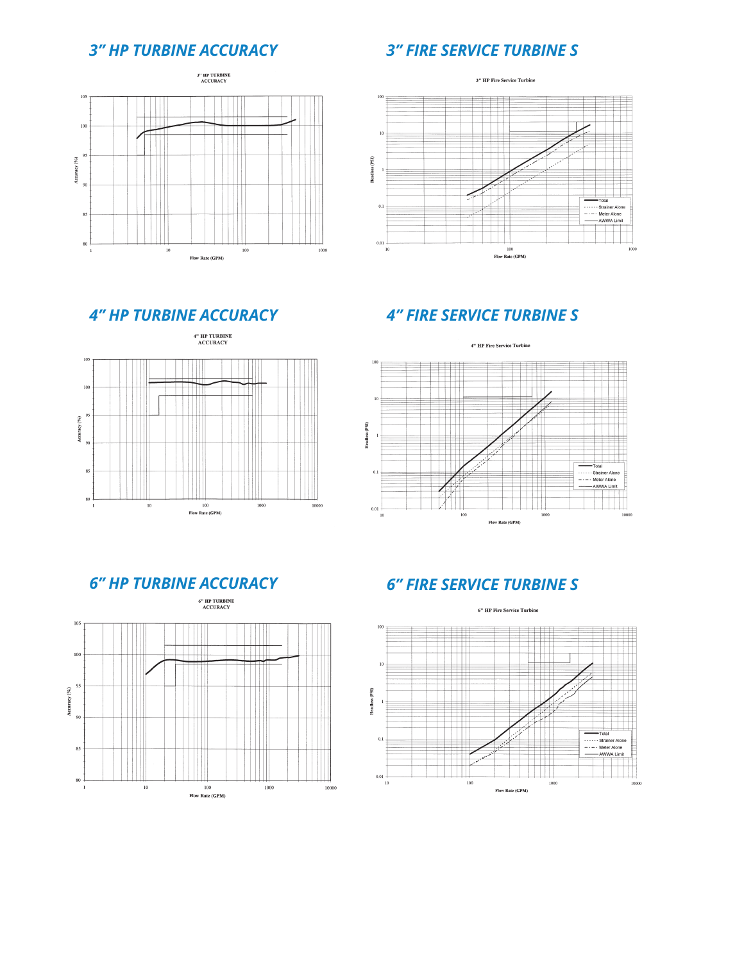## *3" HP TURBINE ACCURACY 3" FIRE SERVICE TURBINE S*







## *4" HP TURBINE ACCURACY 4" FIRE SERVICE TURBINE S*





## *6" HP TURBINE ACCURACY 6" FIRE SERVICE TURBINE S*

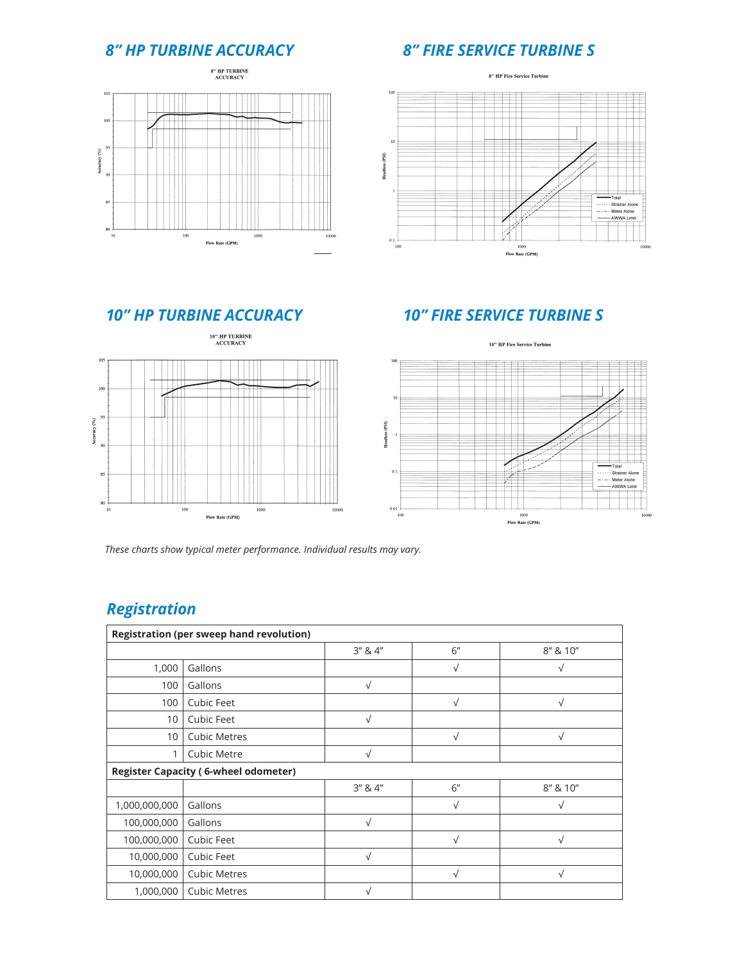## *8" HP TURBINE ACCURACY 8" FIRE SERVICE TURBINE S*





## *10" HP TURBINE ACCURACY 10" FIRE SERVICE TURBINE S*



*These charts show typical meter performance. Individual results may vary.*

## *Registration*

| <b>Registration (per sweep hand revolution)</b> |                     |               |           |            |  |  |  |
|-------------------------------------------------|---------------------|---------------|-----------|------------|--|--|--|
|                                                 |                     | $3''$ & $4''$ | 6"        | 8" & 10"   |  |  |  |
| 1,000                                           | Gallons             |               | $\sqrt{}$ | √          |  |  |  |
| 100                                             | Gallons             | $\sqrt{ }$    |           |            |  |  |  |
| 100                                             | <b>Cubic Feet</b>   |               | $\sqrt{}$ | $\sqrt{ }$ |  |  |  |
| 10                                              | Cubic Feet          | $\sqrt{ }$    |           |            |  |  |  |
| 10                                              | <b>Cubic Metres</b> |               | $\sqrt{}$ | $\sqrt{ }$ |  |  |  |
|                                                 | Cubic Metre         | $\sqrt{ }$    |           |            |  |  |  |
| <b>Register Capacity (6-wheel odometer)</b>     |                     |               |           |            |  |  |  |
|                                                 |                     | 3'' 8.4''     | 6"        | 8" & 10"   |  |  |  |
| 1,000,000,000                                   | Gallons             |               | $\sqrt{}$ | V          |  |  |  |
| 100,000,000                                     | Gallons             | $\sqrt{ }$    |           |            |  |  |  |
| 100,000,000                                     | Cubic Feet          |               | $\sqrt{}$ | $\sqrt{ }$ |  |  |  |
| 10,000,000                                      | Cubic Feet          | $\sqrt{ }$    |           |            |  |  |  |
| 10,000,000                                      | <b>Cubic Metres</b> |               | $\sqrt{}$ | $\sqrt{}$  |  |  |  |
| 1,000,000                                       | <b>Cubic Metres</b> | V             |           |            |  |  |  |